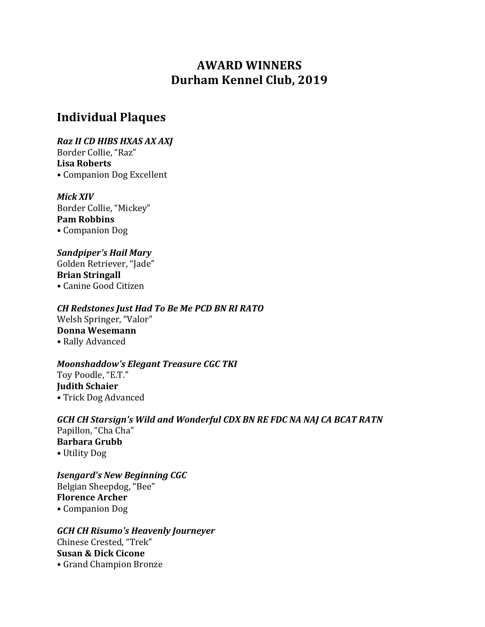# **AWARD WINNERS Durham Kennel Club, 2019**

# **Individual Plaques**

*Raz II CD HIBS HXAS AX AXJ* Border Collie, "Raz" Lisa Roberts • Companion Dog Excellent

*Mick XIV* Border Collie, "Mickey" **Pam Robbins** • Companion Dog

*Sandpiper's Hail Mary* Golden Retriever, "Jade" **Brian Stringall** • Canine Good Citizen

*CH Redstones Just Had To Be Me PCD BN RI RATO* Welsh Springer, "Valor" **Donna Wesemann** • Rally Advanced

*Moonshaddow's Elegant Treasure CGC TKI* Toy Poodle, "E.T." **Judith Schaier** • Trick Dog Advanced

GCH CH Starsign's Wild and Wonderful CDX BN RE FDC NA NAJ CA BCAT RATN Papillon, "Cha Cha" **Barbara Grubb** • Utility Dog

**Isengard's New Beginning CGC** Belgian Sheepdog, "Bee" **Florence Archer** • Companion Dog

*GCH CH Risumo's Heavenly Journeyer* Chinese Crested, "Trek" **Susan & Dick Cicone** • Grand Champion Bronze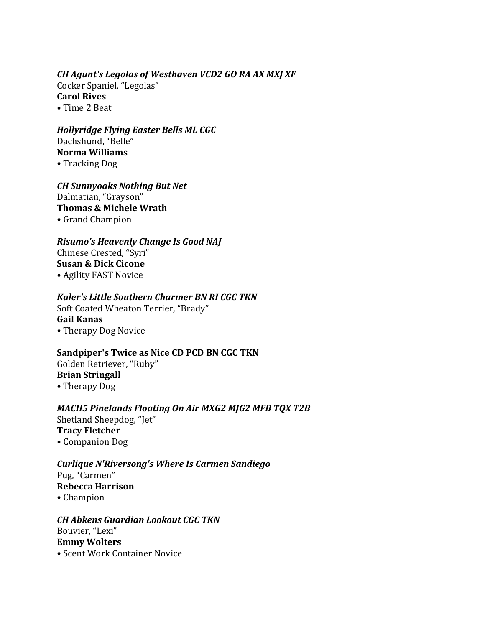#### *CH Agunt's Legolas of Westhaven VCD2 GO RA AX MXJ XF*

Cocker Spaniel, "Legolas" **Carol Rives** • Time 2 Beat

*Hollyridge Flying Easter Bells ML CGC* Dachshund, "Belle" **Norma Williams**

• Tracking Dog

*CH Sunnyoaks Nothing But Net* Dalmatian, "Grayson" **Thomas & Michele Wrath** • Grand Champion

#### **Risumo's Heavenly Change Is Good NAJ**

Chinese Crested, "Syri" **Susan & Dick Cicone** • Agility FAST Novice

#### **Kaler's Little Southern Charmer BN RI CGC TKN**

Soft Coated Wheaton Terrier, "Brady" **Gail Kanas** • Therapy Dog Novice

## **Sandpiper's Twice as Nice CD PCD BN CGC TKN**

Golden Retriever, "Ruby" **Brian Stringall**

• Therapy Dog

#### *MACH5* Pinelands Floating On Air MXG2 MJG2 MFB TQX T2B Shetland Sheepdog, "Jet" **Tracy Fletcher** • Companion Dog

*Curlique N'Riversong's Where Is Carmen Sandiego* Pug. "Carmen" **Rebecca Harrison** • Champion

*CH Abkens Guardian Lookout CGC TKN* Bouvier, "Lexi" **Emmy Wolters** • Scent Work Container Novice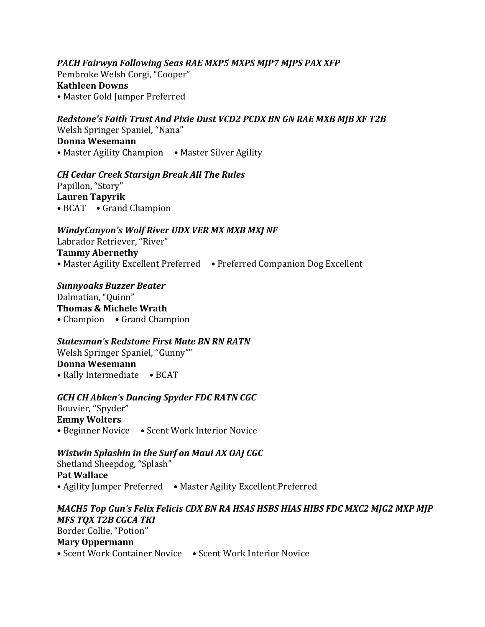**PACH Fairwyn Following Seas RAE MXP5 MXPS MJP7 MJPS PAX XFP** Pembroke Welsh Corgi, "Cooper" **Kathleen Downs** • Master Gold Jumper Preferred

**Redstone's Faith Trust And Pixie Dust VCD2 PCDX BN GN RAE MXB MJB XF T2B** Welsh Springer Spaniel, "Nana" **Donna Wesemann** • Master Agility Champion • Master Silver Agility

#### *CH Cedar Creek Starsign Break All The Rules*

Papillon, "Story" **Lauren Tapyrik** • BCAT • Grand Champion

#### *WindyCanyon's Wolf River UDX VER MX MXB MXJ NF*

Labrador Retriever, "River" **Tammy Abernethy** • Master Agility Excellent Preferred • Preferred Companion Dog Excellent

*Sunnyoaks Buzzer Beater* Dalmatian, "Quinn" **Thomas & Michele Wrath** • Champion • Grand Champion

#### **Statesman's Redstone First Mate BN RN RATN**

Welsh Springer Spaniel, "Gunny"" **Donna Wesemann** • Rally Intermediate • BCAT

#### **GCH CH Abken's Dancing Spyder FDC RATN CGC**

Bouvier, "Spyder" **Emmy Wolters** • Beginner Novice • Scent Work Interior Novice

#### *Wistwin Splashin in the Surf on Maui AX OAJ CGC*

Shetland Sheepdog, "Splash" **Pat Wallace** • Agility Jumper Preferred • Master Agility Excellent Preferred

#### *MACH5* Top Gun's Felix Felicis CDX BN RA HSAS HSBS HIAS HIBS FDC MXC2 MJG2 MXP MJP *MFS TQX T2B CGCA TKI* Border Collie, "Potion" **Mary Oppermann** • Scent Work Container Novice • Scent Work Interior Novice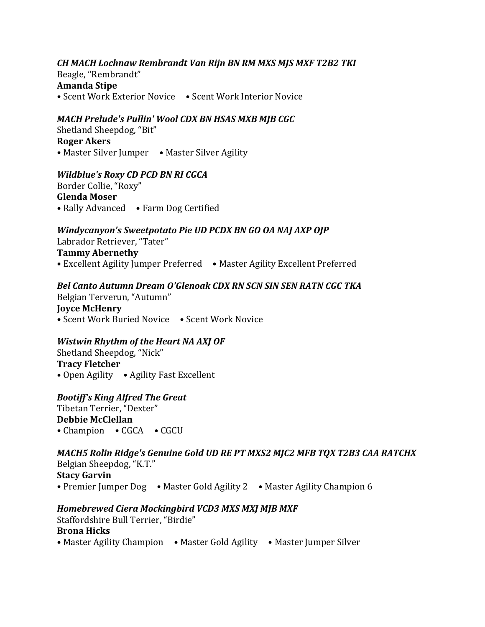#### *CH MACH Lochnaw Rembrandt Van Rijn BN RM MXS MJS MXF T2B2 TKI*  Beagle, "Rembrandt" **Amanda Stipe** • Scent Work Exterior Novice • Scent Work Interior Novice

#### *MACH Prelude's Pullin' Wool CDX BN HSAS MXB MJB CGC*

Shetland Sheepdog, "Bit" **Roger Akers** • Master Silver Jumper • Master Silver Agility

#### *Wildblue's Roxy CD PCD BN RI CGCA*

Border Collie, "Roxy" **Glenda Moser** • Rally Advanced • Farm Dog Certified

#### *Windycanyon's Sweetpotato Pie UD PCDX BN GO OA NAJ AXP OJP*

Labrador Retriever, "Tater" **Tammy Abernethy** • Excellent Agility Jumper Preferred • Master Agility Excellent Preferred

## *Bel Canto Autumn Dream O'Glenoak CDX RN SCN SIN SEN RATN CGC TKA*

Belgian Terverun, "Autumn" **Joyce McHenry** • Scent Work Buried Novice • Scent Work Novice

#### *Wistwin Rhythm of the Heart NA AXJ OF*

Shetland Sheepdog, "Nick" **Tracy Fletcher** • Open Agility • Agility Fast Excellent

#### **Bootiff's King Alfred The Great**

Tibetan Terrier, "Dexter" **Debbie McClellan** • Champion • CGCA • CGCU

#### *MACH5* Rolin Ridge's Genuine Gold UD RE PT MXS2 MJC2 MFB TQX T2B3 CAA RATCHX Belgian Sheepdog, "K.T." **Stacy Garvin** • Premier Jumper Dog • Master Gold Agility 2 • Master Agility Champion 6

## *Homebrewed Ciera Mockingbird VCD3 MXS MXJ MJB MXF*

Staffordshire Bull Terrier, "Birdie" **Brona Hicks** • Master Agility Champion • Master Gold Agility • Master Jumper Silver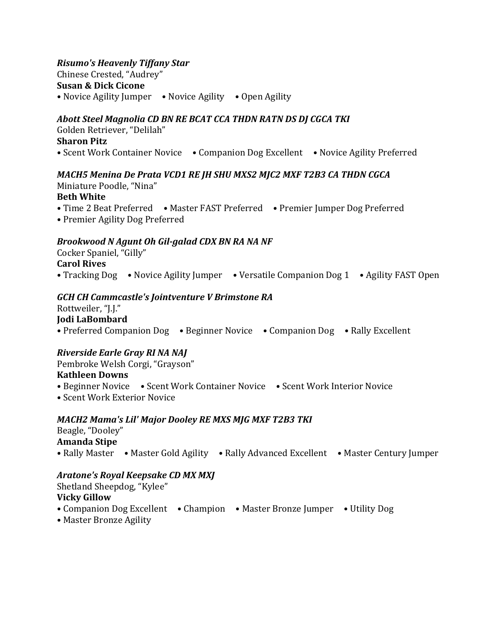#### *Risumo's Heavenly Tiffany Star*

Chinese Crested, "Audrey"

**Susan & Dick Cicone**

• Novice Agility Jumper • Novice Agility • Open Agility

## Abott Steel Magnolia CD BN RE BCAT CCA THDN RATN DS DJ CGCA TKI

Golden Retriever, "Delilah"

#### **Sharon Pitz**

• Scent Work Container Novice • Companion Dog Excellent • Novice Agility Preferred

## *MACH5 Menina De Prata VCD1 RE JH SHU MXS2 MJC2 MXF T2B3 CA THDN CGCA*

Miniature Poodle, "Nina" **Beth White** 

- Time 2 Beat Preferred Master FAST Preferred Premier Jumper Dog Preferred
- Premier Agility Dog Preferred

## *Brookwood N Agunt Oh Gil-galad CDX BN RA NA NF*

## Cocker Spaniel, "Gilly" **Carol Rives**

• Tracking Dog • Novice Agility Jumper • Versatile Companion Dog 1 • Agility FAST Open

## *GCH CH Cammcastle's Jointventure V Brimstone RA*

Rottweiler, "J.J." **Jodi LaBombard** • Preferred Companion Dog • Beginner Novice • Companion Dog • Rally Excellent

## *Riverside Earle Gray RI NA NAJ*

Pembroke Welsh Corgi, "Grayson"

## **Kathleen Downs**

- Beginner Novice Scent Work Container Novice Scent Work Interior Novice
- Scent Work Exterior Novice

## *MACH2 Mama's Lil' Major Dooley RE MXS MJG MXF T2B3 TKI*

Beagle, "Dooley" **Amanda Stipe** • Rally Master • Master Gold Agility • Rally Advanced Excellent • Master Century Jumper

## *Aratone's Royal Keepsake CD MX MXJ*

Shetland Sheepdog, "Kylee"

## **Vicky Gillow**

- Companion Dog Excellent Champion Master Bronze Jumper Utility Dog
- Master Bronze Agility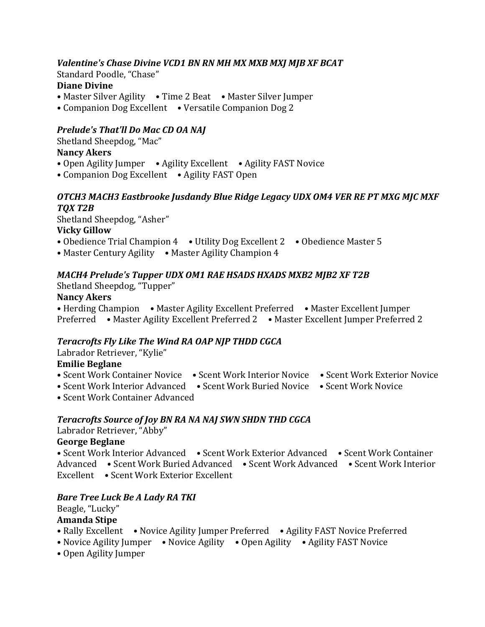## Valentine's Chase Divine VCD1 BN RN MH MX MXB MXJ MJB XF BCAT

Standard Poodle, "Chase"

### **Diane Divine**

- Master Silver Agility Time 2 Beat Master Silver Jumper
- Companion Dog Excellent Versatile Companion Dog 2

## **Prelude's That'll Do Mac CD OA NAJ**

Shetland Sheepdog, "Mac"

## **Nancy Akers**

- Open Agility Jumper Agility Excellent Agility FAST Novice
- Companion Dog Excellent Agility FAST Open

## **OTCH3** MACH3 Eastbrooke Jusdandy Blue Ridge Legacy UDX OM4 VER RE PT MXG MJC MXF *TQX T2B*

Shetland Sheepdog, "Asher" **Vicky Gillow**

- Obedience Trial Champion 4 Utility Dog Excellent 2 Obedience Master 5
- Master Century Agility Master Agility Champion 4

## *MACH4* Prelude's Tupper UDX OM1 RAE HSADS HXADS MXB2 MJB2 XF T2B

Shetland Sheepdog, "Tupper"

## **Nancy Akers**

• Herding Champion • Master Agility Excellent Preferred • Master Excellent Jumper Preferred • Master Agility Excellent Preferred 2 • Master Excellent Jumper Preferred 2

## **Teracrofts Fly Like The Wind RA OAP NJP THDD CGCA**

Labrador Retriever, "Kylie"

## **Emilie Beglane**

- Scent Work Container Novice Scent Work Interior Novice Scent Work Exterior Novice
- Scent Work Interior Advanced Scent Work Buried Novice Scent Work Novice
- Scent Work Container Advanced

## **Teracrofts Source of Joy BN RA NA NAJ SWN SHDN THD CGCA**

Labrador Retriever, "Abby"

## **George Beglane**

• Scent Work Interior Advanced • Scent Work Exterior Advanced • Scent Work Container Advanced • Scent Work Buried Advanced • Scent Work Advanced • Scent Work Interior Excellent • Scent Work Exterior Excellent

## *Bare Tree Luck Be A Lady RA TKI*

## Beagle, "Lucky"

## **Amanda Stipe**

- Rally Excellent Novice Agility Jumper Preferred Agility FAST Novice Preferred
- Novice Agility Jumper Novice Agility Open Agility Agility FAST Novice
- Open Agility Jumper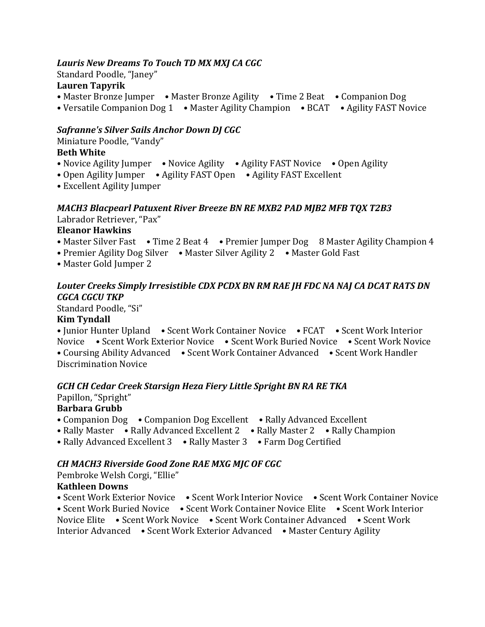#### Lauris New Dreams To Touch TD MX MXJ CA CGC

Standard Poodle, "Janey"

## **Lauren Tapyrik**

• Master Bronze Jumper • Master Bronze Agility • Time 2 Beat • Companion Dog

• Versatile Companion Dog 1 • Master Agility Champion • BCAT • Agility FAST Novice

## **Safranne's Silver Sails Anchor Down DJ CGC**

Miniature Poodle, "Vandy"

## **Beth White**

- Novice Agility Jumper Novice Agility Agility FAST Novice Open Agility
- Open Agility Jumper Agility FAST Open Agility FAST Excellent
- Excellent Agility Jumper

## *MACH3 Blacpearl Patuxent River Breeze BN RE MXB2 PAD MJB2 MFB TQX T2B3* Labrador Retriever, "Pax"

## **Eleanor Hawkins**

- Master Silver Fast Time 2 Beat 4 Premier Jumper Dog 8 Master Agility Champion 4
- Premier Agility Dog Silver Master Silver Agility 2 Master Gold Fast
- Master Gold Jumper 2

#### Louter Creeks Simply Irresistible CDX PCDX BN RM RAE *JH FDC NA NAJ CA DCAT RATS DN CGCA CGCU TKP*

Standard Poodle, "Si" **Kim Tyndall**

• Junior Hunter Upland • Scent Work Container Novice • FCAT • Scent Work Interior Novice • Scent Work Exterior Novice • Scent Work Buried Novice • Scent Work Novice • Coursing Ability Advanced • Scent Work Container Advanced • Scent Work Handler Discrimination Novice

#### *GCH CH Cedar Creek Starsign Heza Fiery Little Spright BN RA RE TKA*

Papillon, "Spright"

# **Barbara Grubb**

- Companion Dog Companion Dog Excellent Rally Advanced Excellent
- Rally Master Rally Advanced Excellent 2 Rally Master 2 Rally Champion
- Rally Advanced Excellent 3 Rally Master 3 Farm Dog Certified

## *CH MACH3 Riverside Good Zone RAE MXG MJC OF CGC*

Pembroke Welsh Corgi, "Ellie"

#### **Kathleen Downs**

• Scent Work Exterior Novice • Scent Work Interior Novice • Scent Work Container Novice • Scent Work Buried Novice • Scent Work Container Novice Elite • Scent Work Interior Novice Elite • Scent Work Novice • Scent Work Container Advanced • Scent Work Interior Advanced • Scent Work Exterior Advanced • Master Century Agility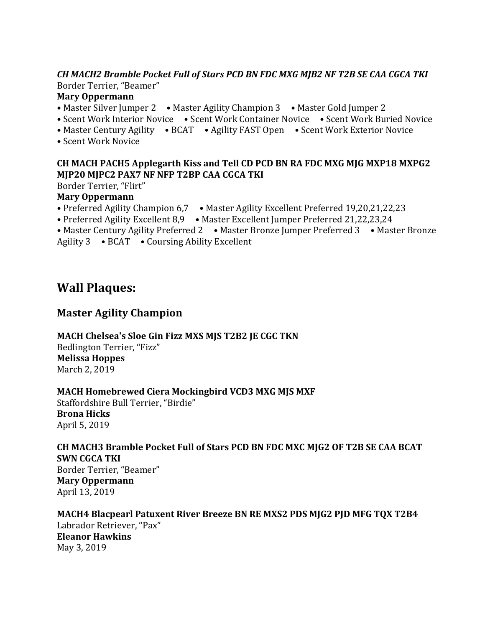#### CH MACH2 Bramble Pocket Full of Stars PCD BN FDC MXG MJB2 NF T2B SE CAA CGCA TKI Border Terrier, "Beamer"

#### **Mary Oppermann**

- Master Silver Jumper 2 Master Agility Champion 3 Master Gold Jumper 2
- Scent Work Interior Novice Scent Work Container Novice Scent Work Buried Novice
- Master Century Agility BCAT Agility FAST Open Scent Work Exterior Novice
- Scent Work Novice

#### **CH MACH PACH5 Applegarth Kiss and Tell CD PCD BN RA FDC MXG MJG MXP18 MXPG2 MJP20 MJPC2 PAX7 NF NFP T2BP CAA CGCA TKI**

Border Terrier, "Flirt"

#### **Mary Oppermann**

- Preferred Agility Champion 6,7 Master Agility Excellent Preferred 19,20,21,22,23
- Preferred Agility Excellent 8,9 Master Excellent Jumper Preferred 21,22,23,24
- Master Century Agility Preferred 2 Master Bronze Jumper Preferred 3 Master Bronze

Agility  $3 \rightarrow BCAT \rightarrow$  Coursing Ability Excellent

## **Wall Plaques:**

## **Master Agility Champion**

**MACH Chelsea's Sloe Gin Fizz MXS MJS T2B2 JE CGC TKN** Bedlington Terrier, "Fizz" **Melissa Hoppes** March 2, 2019

**MACH Homebrewed Ciera Mockingbird VCD3 MXG MJS MXF** 

Staffordshire Bull Terrier, "Birdie" **Brona Hicks** April 5, 2019

## **CH MACH3 Bramble Pocket Full of Stars PCD BN FDC MXC MJG2 OF T2B SE CAA BCAT SWN CGCA TKI**

Border Terrier, "Beamer" **Mary Oppermann** April 13, 2019

## **MACH4 Blacpearl Patuxent River Breeze BN RE MXS2 PDS MJG2 PJD MFG TOX T2B4**

Labrador Retriever, "Pax" **Eleanor Hawkins** May 3, 2019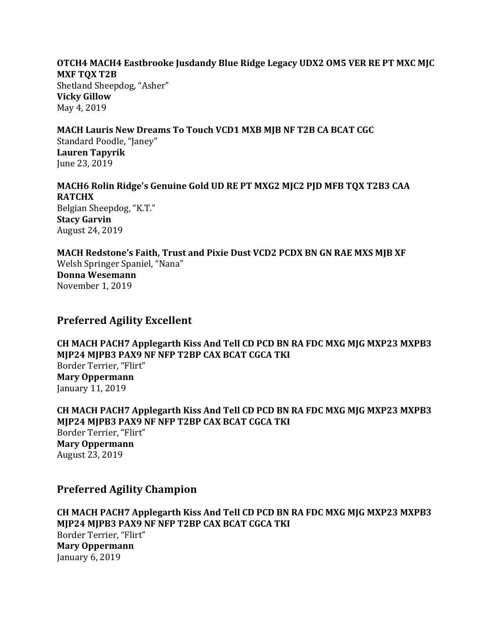#### **OTCH4 MACH4 Eastbrooke Jusdandy Blue Ridge Legacy UDX2 OM5 VER RE PT MXC MJC MXF TQX T2B**

Shetland Sheepdog, "Asher" **Vicky Gillow** May 4, 2019

#### **MACH Lauris New Dreams To Touch VCD1 MXB MJB NF T2B CA BCAT CGC**

Standard Poodle, "Janey" **Lauren Tapyrik** June 23, 2019

# MACH6 Rolin Ridge's Genuine Gold UD RE PT MXG2 MJC2 PJD MFB TQX T2B3 CAA **RATCHX**

Belgian Sheepdog, "K.T." **Stacy Garvin** August 24, 2019

MACH Redstone's Faith, Trust and Pixie Dust VCD2 PCDX BN GN RAE MXS MJB XF Welsh Springer Spaniel, "Nana"

**Donna Wesemann** November 1, 2019

## **Preferred Agility Excellent**

CH MACH PACH7 Applegarth Kiss And Tell CD PCD BN RA FDC MXG MJG MXP23 MXPB3 **MJP24 MJPB3 PAX9 NF NFP T2BP CAX BCAT CGCA TKI** Border Terrier, "Flirt" **Mary Oppermann** January 11, 2019

**CH MACH PACH7 Applegarth Kiss And Tell CD PCD BN RA FDC MXG MJG MXP23 MXPB3 MJP24 MJPB3 PAX9 NF NFP T2BP CAX BCAT CGCA TKI** Border Terrier, "Flirt" **Mary Oppermann** August 23, 2019

## **Preferred Agility Champion**

CH MACH PACH7 Applegarth Kiss And Tell CD PCD BN RA FDC MXG MJG MXP23 MXPB3 **MJP24 MJPB3 PAX9 NF NFP T2BP CAX BCAT CGCA TKI** Border Terrier, "Flirt" **Mary Oppermann** January 6, 2019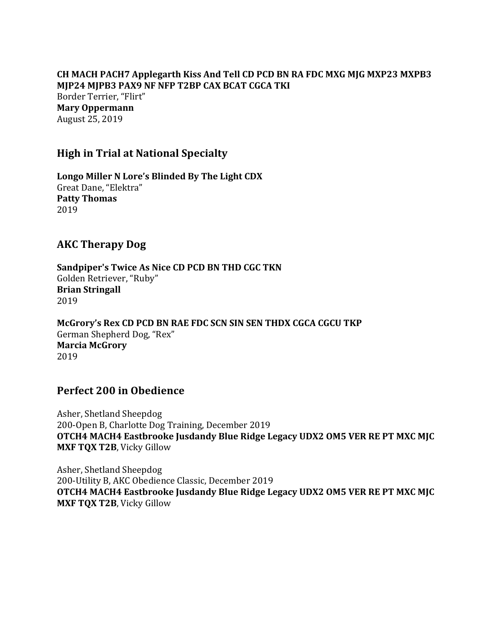CH MACH PACH7 Applegarth Kiss And Tell CD PCD BN RA FDC MXG MJG MXP23 MXPB3 **MJP24 MJPB3 PAX9 NF NFP T2BP CAX BCAT CGCA TKI** Border Terrier, "Flirt" **Mary Oppermann** August 25, 2019

## **High in Trial at National Specialty**

Longo Miller N Lore's Blinded By The Light CDX Great Dane, "Elektra" **Patty Thomas** 2019

## **AKC Therapy Dog**

Sandpiper's Twice As Nice CD PCD BN THD CGC TKN Golden Retriever, "Ruby" **Brian Stringall** 2019

McGrory's Rex CD PCD BN RAE FDC SCN SIN SEN THDX CGCA CGCU TKP German Shepherd Dog, "Rex" **Marcia McGrory** 2019

## **Perfect 200 in Obedience**

Asher, Shetland Sheepdog 200-Open B, Charlotte Dog Training, December 2019 **OTCH4 MACH4 Eastbrooke Jusdandy Blue Ridge Legacy UDX2 OM5 VER RE PT MXC MJC MXF TQX T2B**, Vicky Gillow

Asher, Shetland Sheepdog 200-Utility B, AKC Obedience Classic, December 2019 **OTCH4 MACH4 Eastbrooke Jusdandy Blue Ridge Legacy UDX2 OM5 VER RE PT MXC MJC MXF TQX T2B, Vicky Gillow**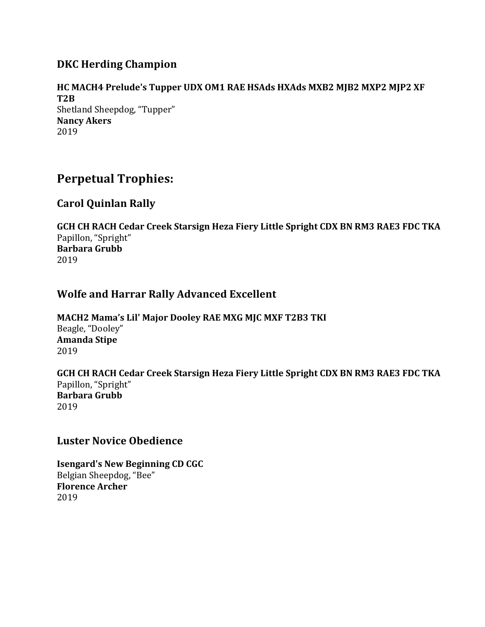## **DKC Herding Champion**

**HC MACH4 Prelude's Tupper UDX OM1 RAE HSAds HXAds MXB2 MJB2 MXP2 MJP2 XF T2B** Shetland Sheepdog, "Tupper" **Nancy Akers** 2019

## **Perpetual Trophies:**

## **Carol Quinlan Rally**

GCH CH RACH Cedar Creek Starsign Heza Fiery Little Spright CDX BN RM3 RAE3 FDC TKA Papillon, "Spright" **Barbara Grubb** 2019

## **Wolfe and Harrar Rally Advanced Excellent**

MACH2 Mama's Lil' Major Dooley RAE MXG MJC MXF T2B3 TKI Beagle, "Dooley" **Amanda Stipe** 2019

GCH CH RACH Cedar Creek Starsign Heza Fiery Little Spright CDX BN RM3 RAE3 FDC TKA Papillon, "Spright" **Barbara Grubb** 2019

## **Luster Novice Obedience**

**Isengard's New Beginning CD CGC** Belgian Sheepdog, "Bee" **Florence Archer** 2019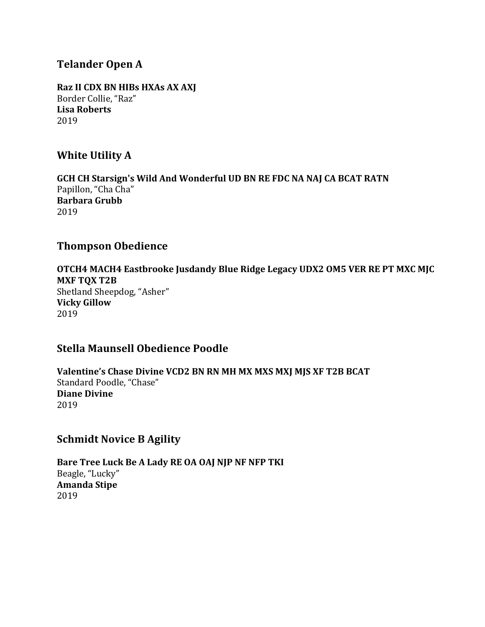## **Telander Open A**

**Raz II CDX BN HIBs HXAs AX AXJ** Border Collie, "Raz" **Lisa Roberts** 2019

## **White Utility A**

GCH CH Starsign's Wild And Wonderful UD BN RE FDC NA NAJ CA BCAT RATN Papillon, "Cha Cha" **Barbara Grubb** 2019

## **Thompson Obedience**

**OTCH4 MACH4 Eastbrooke Jusdandy Blue Ridge Legacy UDX2 OM5 VER RE PT MXC MJC MXF TQX T2B** Shetland Sheepdog, "Asher" **Vicky Gillow** 2019

## **Stella Maunsell Obedience Poodle**

Valentine's Chase Divine VCD2 BN RN MH MX MXS MXJ MJS XF T2B BCAT Standard Poodle, "Chase" **Diane Divine** 2019

## **Schmidt Novice B Agility**

Bare Tree Luck Be A Lady RE OA OAJ NJP NF NFP TKI Beagle, "Lucky" **Amanda Stipe** 2019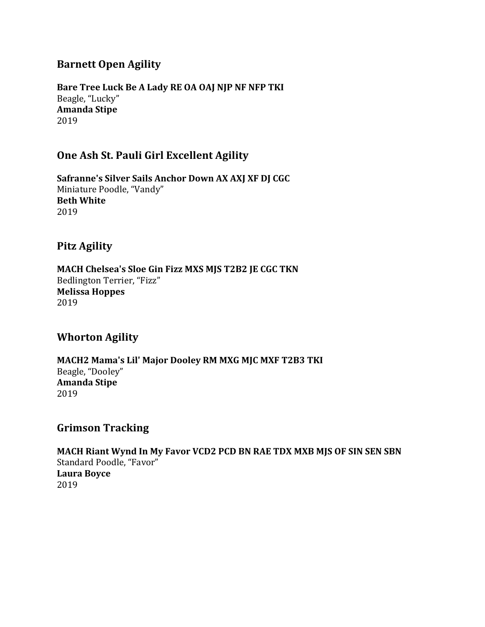## **Barnett Open Agility**

Bare Tree Luck Be A Lady RE OA OAJ NJP NF NFP TKI Beagle, "Lucky" **Amanda Stipe** 2019

## **One Ash St. Pauli Girl Excellent Agility**

Safranne's Silver Sails Anchor Down AX AXJ XF DJ CGC Miniature Poodle, "Vandy" **Beth White** 2019

## **Pitz Agility**

MACH Chelsea's Sloe Gin Fizz MXS MJS T2B2 JE CGC TKN Bedlington Terrier, "Fizz" **Melissa Hoppes** 2019

## **Whorton Agility**

**MACH2 Mama's Lil' Major Dooley RM MXG MJC MXF T2B3 TKI** Beagle, "Dooley" **Amanda Stipe** 2019

## **Grimson Tracking**

**MACH Riant Wynd In My Favor VCD2 PCD BN RAE TDX MXB MJS OF SIN SEN SBN** Standard Poodle, "Favor" **Laura Boyce** 2019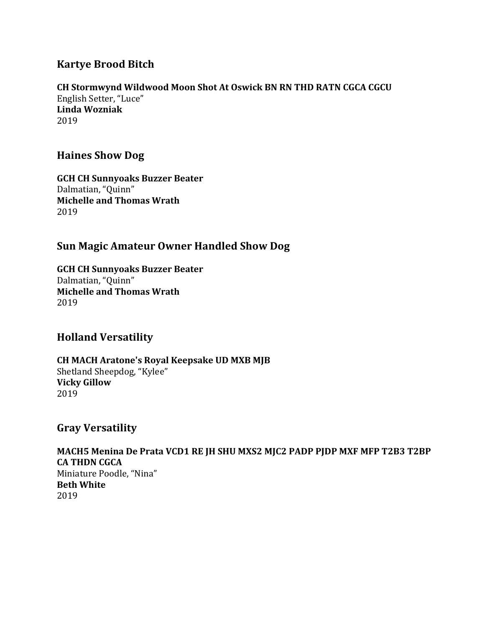## **Kartye Brood Bitch**

# **CH Stormwynd Wildwood Moon Shot At Oswick BN RN THD RATN CGCA CGCU**

English Setter, "Luce" **Linda Wozniak** 2019

## **Haines Show Dog**

**GCH CH Sunnyoaks Buzzer Beater** Dalmatian, "Ouinn" **Michelle and Thomas Wrath** 2019

## **Sun Magic Amateur Owner Handled Show Dog**

**GCH CH Sunnyoaks Buzzer Beater** Dalmatian, "Quinn" **Michelle and Thomas Wrath** 2019

## **Holland Versatility**

**CH MACH Aratone's Royal Keepsake UD MXB MJB** Shetland Sheepdog, "Kylee" **Vicky Gillow** 2019

## **Gray Versatility**

MACH5 Menina De Prata VCD1 RE JH SHU MXS2 MJC2 PADP PJDP MXF MFP T2B3 T2BP **CA THDN CGCA** Miniature Poodle, "Nina" **Beth White** 2019